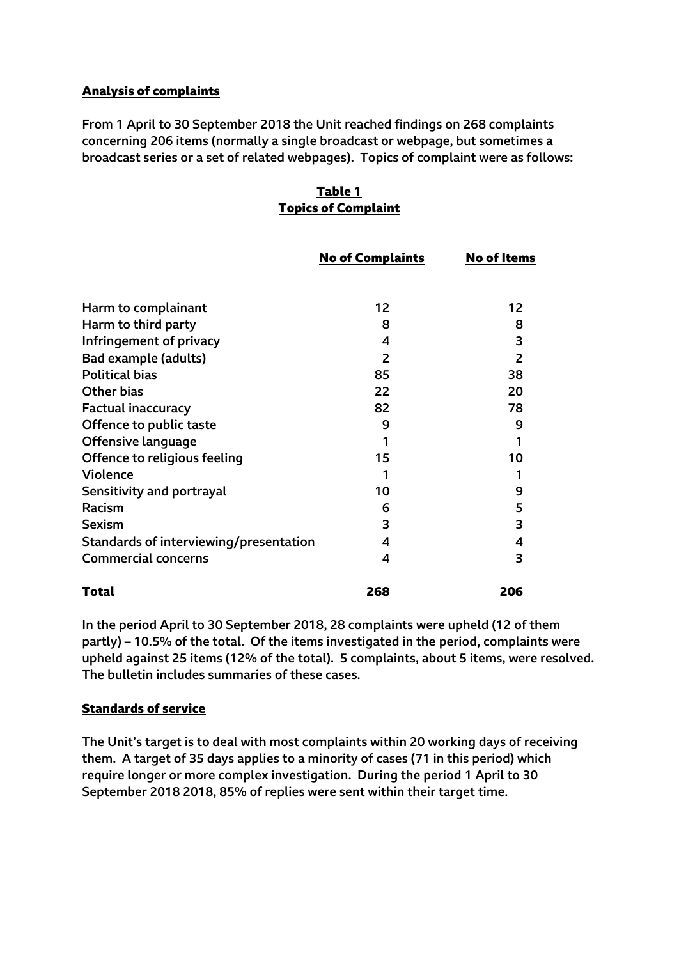# **Analysis of complaints**

From 1 April to 30 September 2018 the Unit reached findings on 268 complaints concerning 206 items (normally a single broadcast or webpage, but sometimes a broadcast series or a set of related webpages). Topics of complaint were as follows:

# **Table 1 Topics of Complaint**

|                                        | <b>No of Complaints</b> | <b>No of Items</b> |
|----------------------------------------|-------------------------|--------------------|
|                                        |                         |                    |
| Harm to complainant                    | 12                      | 12                 |
| Harm to third party                    | 8                       | 8                  |
| Infringement of privacy                | 4                       | 3                  |
| Bad example (adults)                   | 2                       | 2                  |
| <b>Political bias</b>                  | 85                      | 38                 |
| <b>Other bias</b>                      | 22                      | 20                 |
| <b>Factual inaccuracy</b>              | 82                      | 78                 |
| Offence to public taste                | 9                       | 9                  |
| Offensive language                     |                         |                    |
| Offence to religious feeling           | 15                      | 10                 |
| Violence                               | 1                       | 1                  |
| Sensitivity and portrayal              | 10                      | 9                  |
| Racism                                 | 6                       | 5                  |
| <b>Sexism</b>                          | 3                       | 3                  |
| Standards of interviewing/presentation | 4                       | 4                  |
| <b>Commercial concerns</b>             | 4                       | 3                  |
| Total                                  | 268                     | 206                |

In the period April to 30 September 2018, 28 complaints were upheld (12 of them partly) – 10.5% of the total. Of the items investigated in the period, complaints were upheld against 25 items (12% of the total). 5 complaints, about 5 items, were resolved. The bulletin includes summaries of these cases.

## **Standards of service**

The Unit's target is to deal with most complaints within 20 working days of receiving them. A target of 35 days applies to a minority of cases (71 in this period) which require longer or more complex investigation. During the period 1 April to 30 September 2018 2018, 85% of replies were sent within their target time.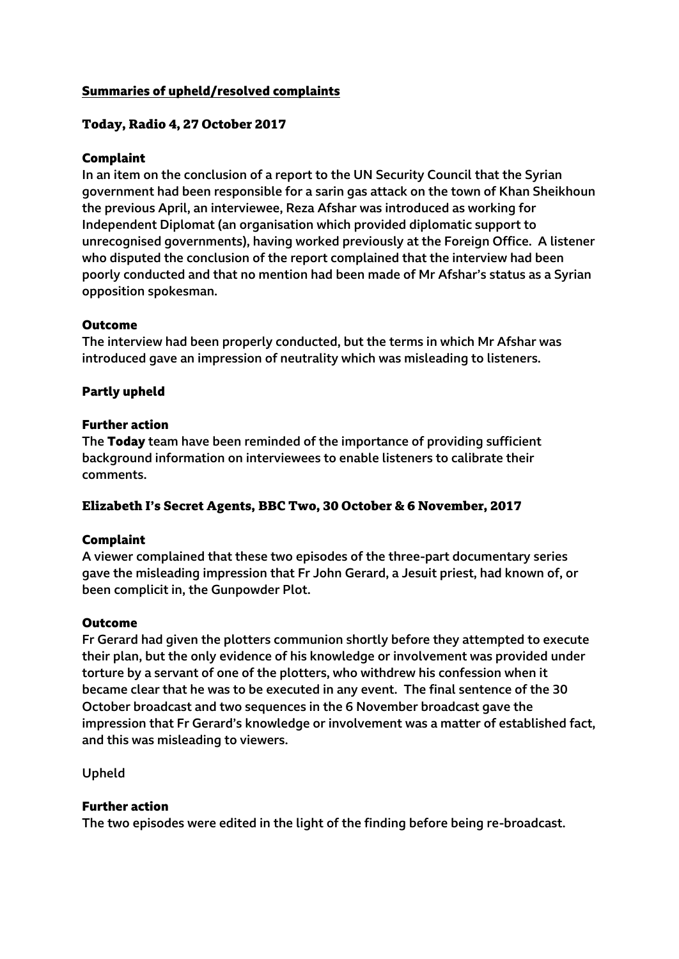## **Summaries of upheld/resolved complaints**

## **Today, Radio 4, 27 October 2017**

## **Complaint**

In an item on the conclusion of a report to the UN Security Council that the Syrian government had been responsible for a sarin gas attack on the town of Khan Sheikhoun the previous April, an interviewee, Reza Afshar was introduced as working for Independent Diplomat (an organisation which provided diplomatic support to unrecognised governments), having worked previously at the Foreign Office. A listener who disputed the conclusion of the report complained that the interview had been poorly conducted and that no mention had been made of Mr Afshar's status as a Syrian opposition spokesman.

### **Outcome**

The interview had been properly conducted, but the terms in which Mr Afshar was introduced gave an impression of neutrality which was misleading to listeners.

## **Partly upheld**

### **Further action**

The **Today** team have been reminded of the importance of providing sufficient background information on interviewees to enable listeners to calibrate their comments.

### **Elizabeth I's Secret Agents, BBC Two, 30 October & 6 November, 2017**

### **Complaint**

A viewer complained that these two episodes of the three-part documentary series gave the misleading impression that Fr John Gerard, a Jesuit priest, had known of, or been complicit in, the Gunpowder Plot.

### **Outcome**

Fr Gerard had given the plotters communion shortly before they attempted to execute their plan, but the only evidence of his knowledge or involvement was provided under torture by a servant of one of the plotters, who withdrew his confession when it became clear that he was to be executed in any event. The final sentence of the 30 October broadcast and two sequences in the 6 November broadcast gave the impression that Fr Gerard's knowledge or involvement was a matter of established fact, and this was misleading to viewers.

Upheld

### **Further action**

The two episodes were edited in the light of the finding before being re-broadcast.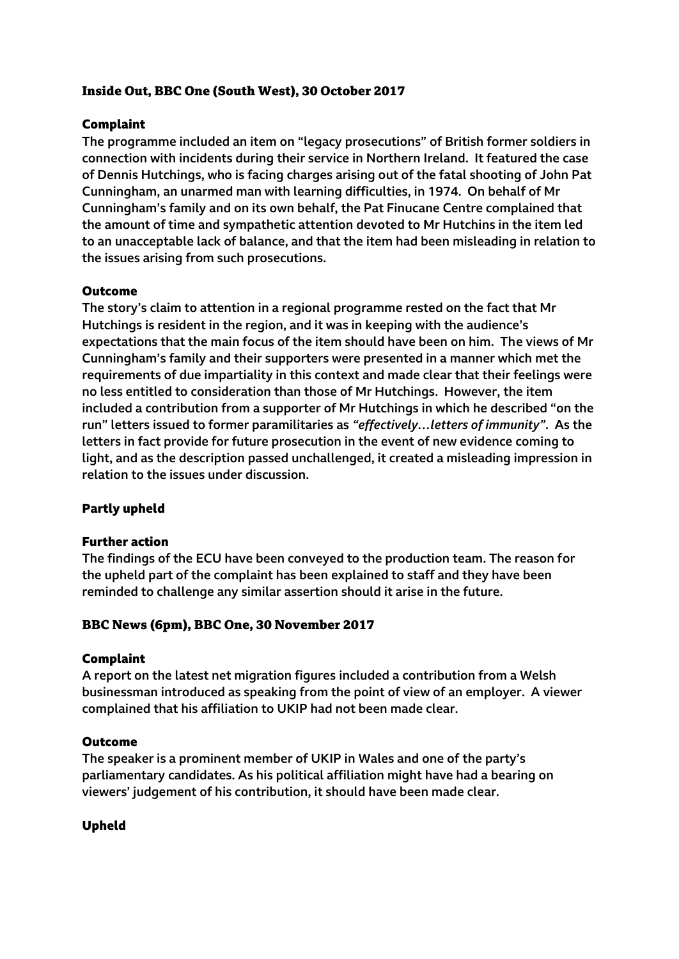# **Inside Out, BBC One (South West), 30 October 2017**

## **Complaint**

The programme included an item on "legacy prosecutions" of British former soldiers in connection with incidents during their service in Northern Ireland. It featured the case of Dennis Hutchings, who is facing charges arising out of the fatal shooting of John Pat Cunningham, an unarmed man with learning difficulties, in 1974. On behalf of Mr Cunningham's family and on its own behalf, the Pat Finucane Centre complained that the amount of time and sympathetic attention devoted to Mr Hutchins in the item led to an unacceptable lack of balance, and that the item had been misleading in relation to the issues arising from such prosecutions.

## **Outcome**

The story's claim to attention in a regional programme rested on the fact that Mr Hutchings is resident in the region, and it was in keeping with the audience's expectations that the main focus of the item should have been on him. The views of Mr Cunningham's family and their supporters were presented in a manner which met the requirements of due impartiality in this context and made clear that their feelings were no less entitled to consideration than those of Mr Hutchings. However, the item included a contribution from a supporter of Mr Hutchings in which he described "on the run" letters issued to former paramilitaries as *"effectively…letters of immunity"*. As the letters in fact provide for future prosecution in the event of new evidence coming to light, and as the description passed unchallenged, it created a misleading impression in relation to the issues under discussion.

## **Partly upheld**

### **Further action**

The findings of the ECU have been conveyed to the production team. The reason for the upheld part of the complaint has been explained to staff and they have been reminded to challenge any similar assertion should it arise in the future.

## **BBC News (6pm), BBC One, 30 November 2017**

### **Complaint**

A report on the latest net migration figures included a contribution from a Welsh businessman introduced as speaking from the point of view of an employer. A viewer complained that his affiliation to UKIP had not been made clear.

### **Outcome**

The speaker is a prominent member of UKIP in Wales and one of the party's parliamentary candidates. As his political affiliation might have had a bearing on viewers' judgement of his contribution, it should have been made clear.

## **Upheld**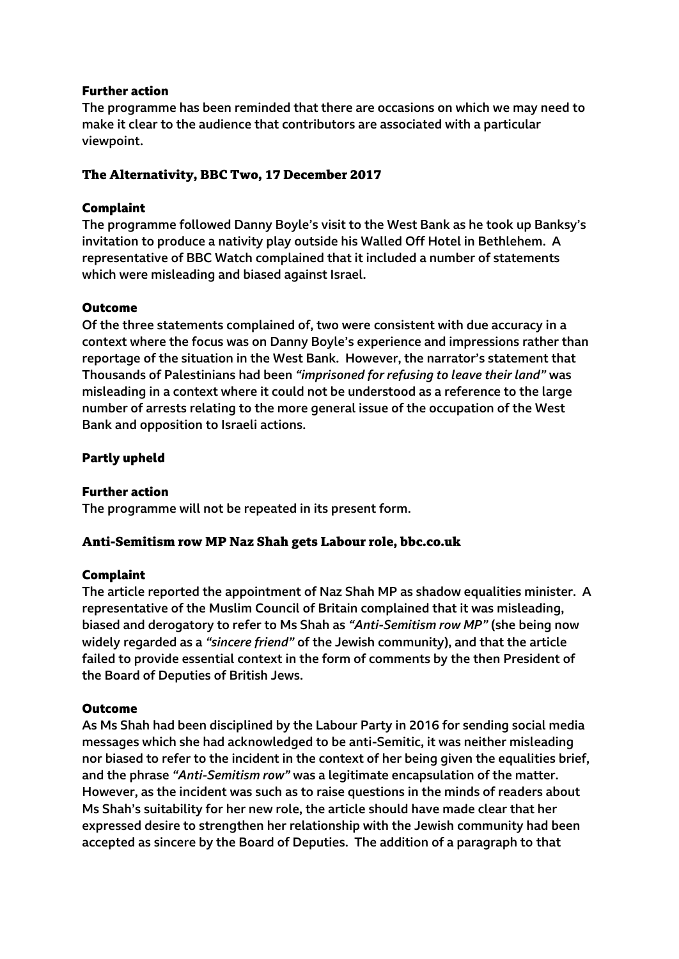The programme has been reminded that there are occasions on which we may need to make it clear to the audience that contributors are associated with a particular viewpoint.

## **The Alternativity, BBC Two, 17 December 2017**

## **Complaint**

The programme followed Danny Boyle's visit to the West Bank as he took up Banksy's invitation to produce a nativity play outside his Walled Off Hotel in Bethlehem. A representative of BBC Watch complained that it included a number of statements which were misleading and biased against Israel.

## **Outcome**

Of the three statements complained of, two were consistent with due accuracy in a context where the focus was on Danny Boyle's experience and impressions rather than reportage of the situation in the West Bank. However, the narrator's statement that Thousands of Palestinians had been *"imprisoned for refusing to leave their land"* was misleading in a context where it could not be understood as a reference to the large number of arrests relating to the more general issue of the occupation of the West Bank and opposition to Israeli actions.

## **Partly upheld**

### **Further action**

The programme will not be repeated in its present form.

## **Anti-Semitism row MP Naz Shah gets Labour role, bbc.co.uk**

### **Complaint**

The article reported the appointment of Naz Shah MP as shadow equalities minister. A representative of the Muslim Council of Britain complained that it was misleading, biased and derogatory to refer to Ms Shah as *"Anti-Semitism row MP"* (she being now widely regarded as a *"sincere friend"* of the Jewish community), and that the article failed to provide essential context in the form of comments by the then President of the Board of Deputies of British Jews.

### **Outcome**

As Ms Shah had been disciplined by the Labour Party in 2016 for sending social media messages which she had acknowledged to be anti-Semitic, it was neither misleading nor biased to refer to the incident in the context of her being given the equalities brief, and the phrase *"Anti-Semitism row"* was a legitimate encapsulation of the matter. However, as the incident was such as to raise questions in the minds of readers about Ms Shah's suitability for her new role, the article should have made clear that her expressed desire to strengthen her relationship with the Jewish community had been accepted as sincere by the Board of Deputies. The addition of a paragraph to that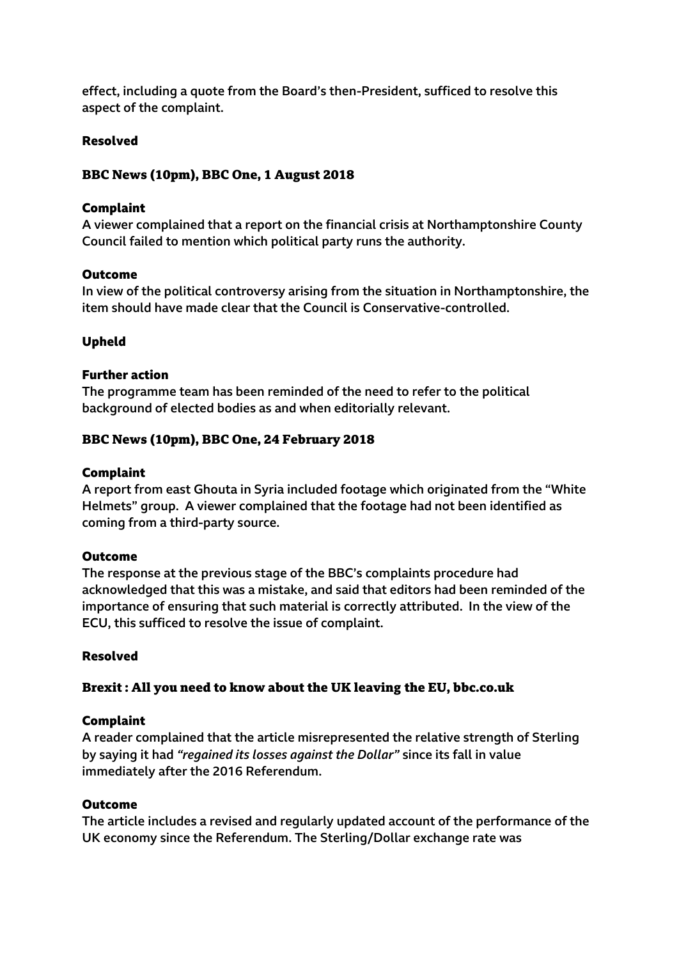effect, including a quote from the Board's then-President, sufficed to resolve this aspect of the complaint.

## **Resolved**

## **BBC News (10pm), BBC One, 1 August 2018**

### **Complaint**

A viewer complained that a report on the financial crisis at Northamptonshire County Council failed to mention which political party runs the authority.

### **Outcome**

In view of the political controversy arising from the situation in Northamptonshire, the item should have made clear that the Council is Conservative-controlled.

## **Upheld**

## **Further action**

The programme team has been reminded of the need to refer to the political background of elected bodies as and when editorially relevant.

## **BBC News (10pm), BBC One, 24 February 2018**

### **Complaint**

A report from east Ghouta in Syria included footage which originated from the "White Helmets" group. A viewer complained that the footage had not been identified as coming from a third-party source.

### **Outcome**

The response at the previous stage of the BBC's complaints procedure had acknowledged that this was a mistake, and said that editors had been reminded of the importance of ensuring that such material is correctly attributed. In the view of the ECU, this sufficed to resolve the issue of complaint.

### **Resolved**

## **Brexit : All you need to know about the UK leaving the EU, bbc.co.uk**

### **Complaint**

A reader complained that the article misrepresented the relative strength of Sterling by saying it had *"regained its losses against the Dollar"* since its fall in value immediately after the 2016 Referendum.

### **Outcome**

The article includes a revised and regularly updated account of the performance of the UK economy since the Referendum. The Sterling/Dollar exchange rate was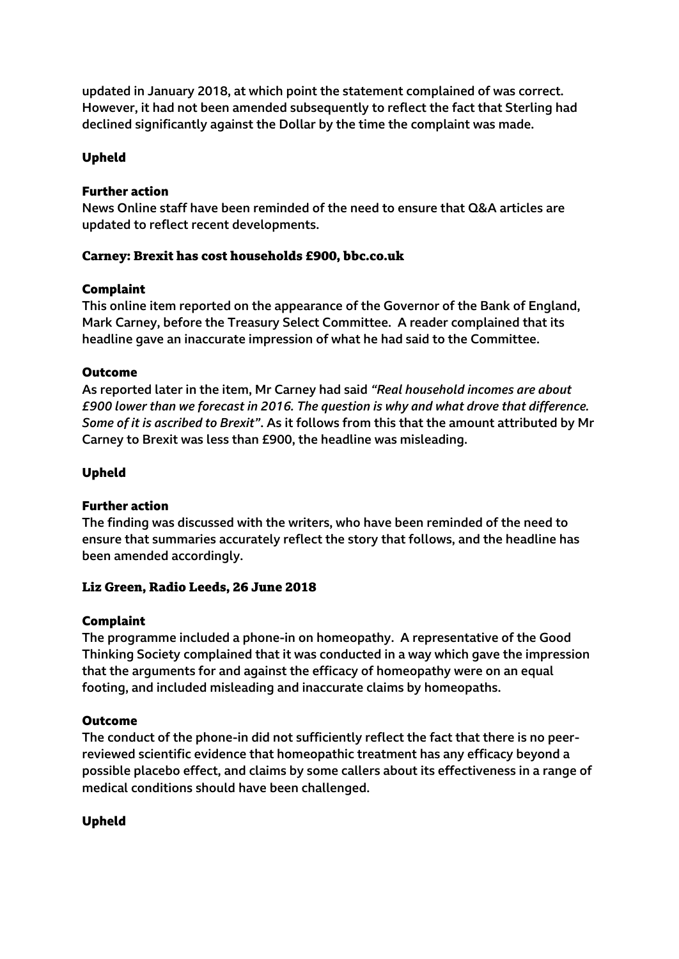updated in January 2018, at which point the statement complained of was correct. However, it had not been amended subsequently to reflect the fact that Sterling had declined significantly against the Dollar by the time the complaint was made.

## **Upheld**

### **Further action**

News Online staff have been reminded of the need to ensure that Q&A articles are updated to reflect recent developments.

## **Carney: Brexit has cost households £900, bbc.co.uk**

## **Complaint**

This online item reported on the appearance of the Governor of the Bank of England, Mark Carney, before the Treasury Select Committee. A reader complained that its headline gave an inaccurate impression of what he had said to the Committee.

## **Outcome**

As reported later in the item, Mr Carney had said *"Real household incomes are about £900 lower than we forecast in 2016. The question is why and what drove that difference. Some of it is ascribed to Brexit"*. As it follows from this that the amount attributed by Mr Carney to Brexit was less than £900, the headline was misleading.

## **Upheld**

### **Further action**

The finding was discussed with the writers, who have been reminded of the need to ensure that summaries accurately reflect the story that follows, and the headline has been amended accordingly.

## **Liz Green, Radio Leeds, 26 June 2018**

### **Complaint**

The programme included a phone-in on homeopathy. A representative of the Good Thinking Society complained that it was conducted in a way which gave the impression that the arguments for and against the efficacy of homeopathy were on an equal footing, and included misleading and inaccurate claims by homeopaths.

### **Outcome**

The conduct of the phone-in did not sufficiently reflect the fact that there is no peerreviewed scientific evidence that homeopathic treatment has any efficacy beyond a possible placebo effect, and claims by some callers about its effectiveness in a range of medical conditions should have been challenged.

### **Upheld**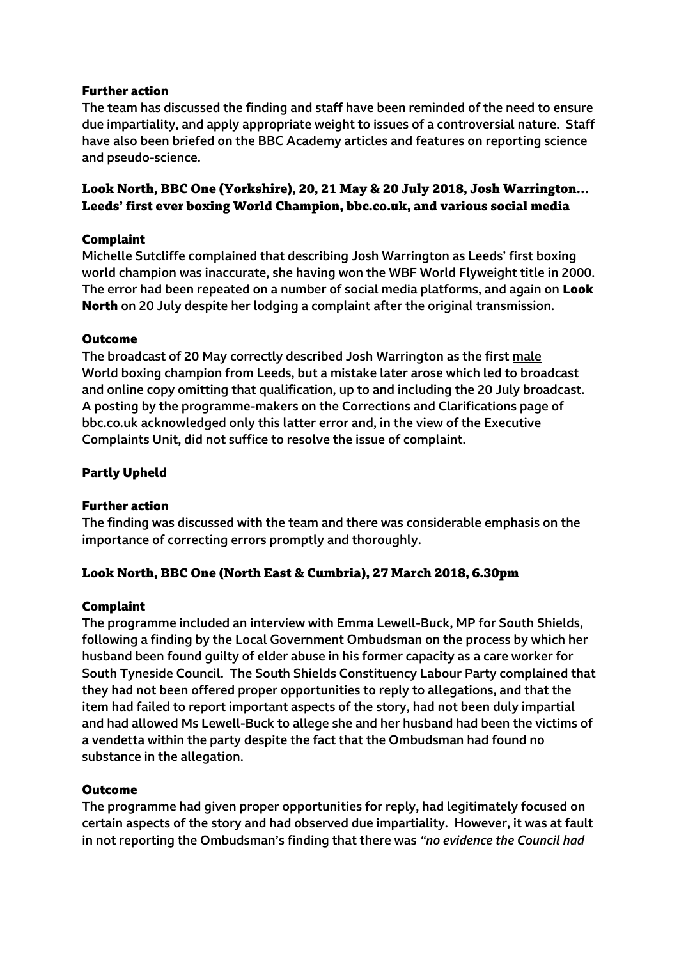The team has discussed the finding and staff have been reminded of the need to ensure due impartiality, and apply appropriate weight to issues of a controversial nature. Staff have also been briefed on the BBC Academy articles and features on reporting science and pseudo-science.

## **Look North, BBC One (Yorkshire), 20, 21 May & 20 July 2018, Josh Warrington… Leeds' first ever boxing World Champion, bbc.co.uk, and various social media**

## **Complaint**

Michelle Sutcliffe complained that describing Josh Warrington as Leeds' first boxing world champion was inaccurate, she having won the WBF World Flyweight title in 2000. The error had been repeated on a number of social media platforms, and again on **Look North** on 20 July despite her lodging a complaint after the original transmission.

### **Outcome**

The broadcast of 20 May correctly described Josh Warrington as the first male World boxing champion from Leeds, but a mistake later arose which led to broadcast and online copy omitting that qualification, up to and including the 20 July broadcast. A posting by the programme-makers on the Corrections and Clarifications page of bbc.co.uk acknowledged only this latter error and, in the view of the Executive Complaints Unit, did not suffice to resolve the issue of complaint.

## **Partly Upheld**

### **Further action**

The finding was discussed with the team and there was considerable emphasis on the importance of correcting errors promptly and thoroughly.

## **Look North, BBC One (North East & Cumbria), 27 March 2018, 6.30pm**

### **Complaint**

The programme included an interview with Emma Lewell-Buck, MP for South Shields, following a finding by the Local Government Ombudsman on the process by which her husband been found guilty of elder abuse in his former capacity as a care worker for South Tyneside Council. The South Shields Constituency Labour Party complained that they had not been offered proper opportunities to reply to allegations, and that the item had failed to report important aspects of the story, had not been duly impartial and had allowed Ms Lewell-Buck to allege she and her husband had been the victims of a vendetta within the party despite the fact that the Ombudsman had found no substance in the allegation.

### **Outcome**

The programme had given proper opportunities for reply, had legitimately focused on certain aspects of the story and had observed due impartiality. However, it was at fault in not reporting the Ombudsman's finding that there was *"no evidence the Council had*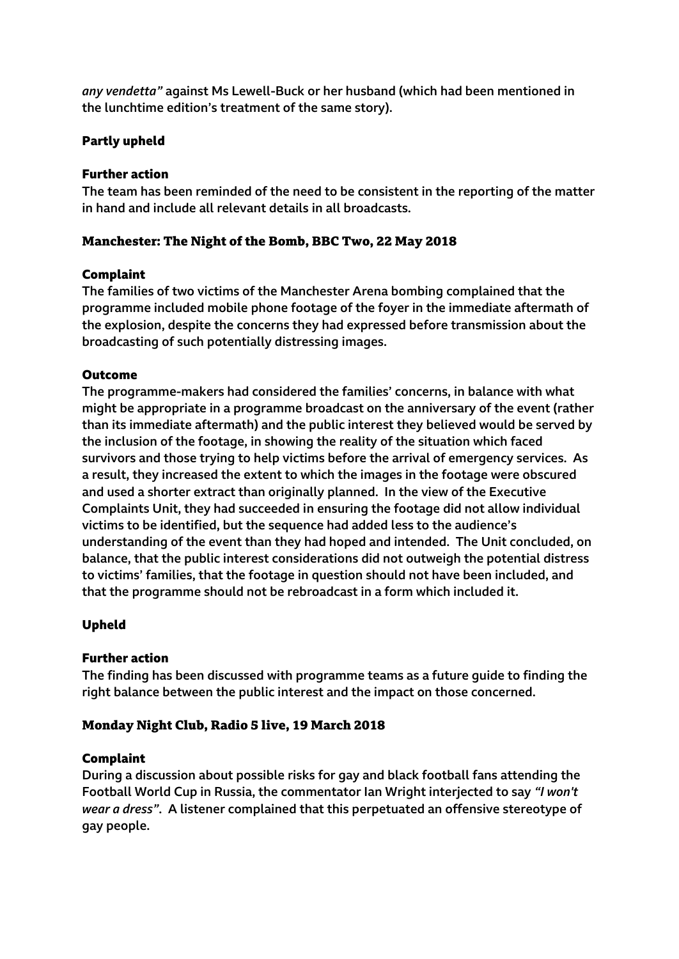*any vendetta"* against Ms Lewell-Buck or her husband (which had been mentioned in the lunchtime edition's treatment of the same story).

## **Partly upheld**

## **Further action**

The team has been reminded of the need to be consistent in the reporting of the matter in hand and include all relevant details in all broadcasts.

## **Manchester: The Night of the Bomb, BBC Two, 22 May 2018**

## **Complaint**

The families of two victims of the Manchester Arena bombing complained that the programme included mobile phone footage of the foyer in the immediate aftermath of the explosion, despite the concerns they had expressed before transmission about the broadcasting of such potentially distressing images.

## **Outcome**

The programme-makers had considered the families' concerns, in balance with what might be appropriate in a programme broadcast on the anniversary of the event (rather than its immediate aftermath) and the public interest they believed would be served by the inclusion of the footage, in showing the reality of the situation which faced survivors and those trying to help victims before the arrival of emergency services. As a result, they increased the extent to which the images in the footage were obscured and used a shorter extract than originally planned. In the view of the Executive Complaints Unit, they had succeeded in ensuring the footage did not allow individual victims to be identified, but the sequence had added less to the audience's understanding of the event than they had hoped and intended. The Unit concluded, on balance, that the public interest considerations did not outweigh the potential distress to victims' families, that the footage in question should not have been included, and that the programme should not be rebroadcast in a form which included it.

## **Upheld**

## **Further action**

The finding has been discussed with programme teams as a future guide to finding the right balance between the public interest and the impact on those concerned.

## **Monday Night Club, Radio 5 live, 19 March 2018**

## **Complaint**

During a discussion about possible risks for gay and black football fans attending the Football World Cup in Russia, the commentator Ian Wright interjected to say *"I won't wear a dress"*. A listener complained that this perpetuated an offensive stereotype of gay people.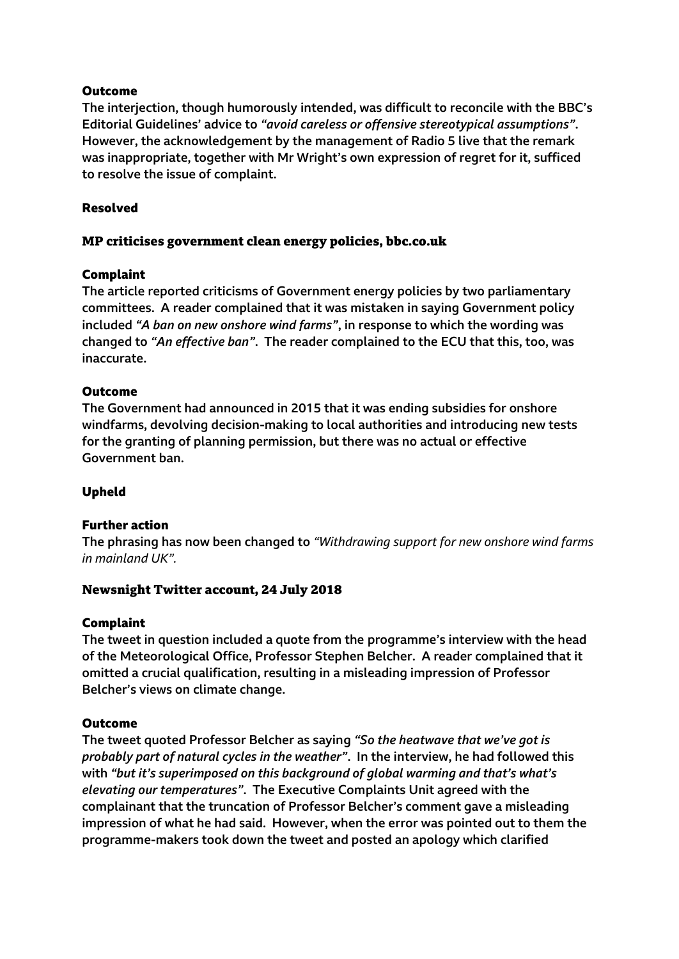## **Outcome**

The interjection, though humorously intended, was difficult to reconcile with the BBC's Editorial Guidelines' advice to *"avoid careless or offensive stereotypical assumptions"*. However, the acknowledgement by the management of Radio 5 live that the remark was inappropriate, together with Mr Wright's own expression of regret for it, sufficed to resolve the issue of complaint.

## **Resolved**

## **MP criticises government clean energy policies, bbc.co.uk**

## **Complaint**

The article reported criticisms of Government energy policies by two parliamentary committees. A reader complained that it was mistaken in saying Government policy included *"A ban on new onshore wind farms"*, in response to which the wording was changed to *"An effective ban"*. The reader complained to the ECU that this, too, was inaccurate.

## **Outcome**

The Government had announced in 2015 that it was ending subsidies for onshore windfarms, devolving decision-making to local authorities and introducing new tests for the granting of planning permission, but there was no actual or effective Government ban.

### **Upheld**

### **Further action**

The phrasing has now been changed to *"Withdrawing support for new onshore wind farms in mainland UK".*

### **Newsnight Twitter account, 24 July 2018**

### **Complaint**

The tweet in question included a quote from the programme's interview with the head of the Meteorological Office, Professor Stephen Belcher. A reader complained that it omitted a crucial qualification, resulting in a misleading impression of Professor Belcher's views on climate change.

### **Outcome**

The tweet quoted Professor Belcher as saying *"So the heatwave that we've got is probably part of natural cycles in the weather"*. In the interview, he had followed this with *"but it's superimposed on this background of global warming and that's what's elevating our temperatures"*. The Executive Complaints Unit agreed with the complainant that the truncation of Professor Belcher's comment gave a misleading impression of what he had said. However, when the error was pointed out to them the programme-makers took down the tweet and posted an apology which clarified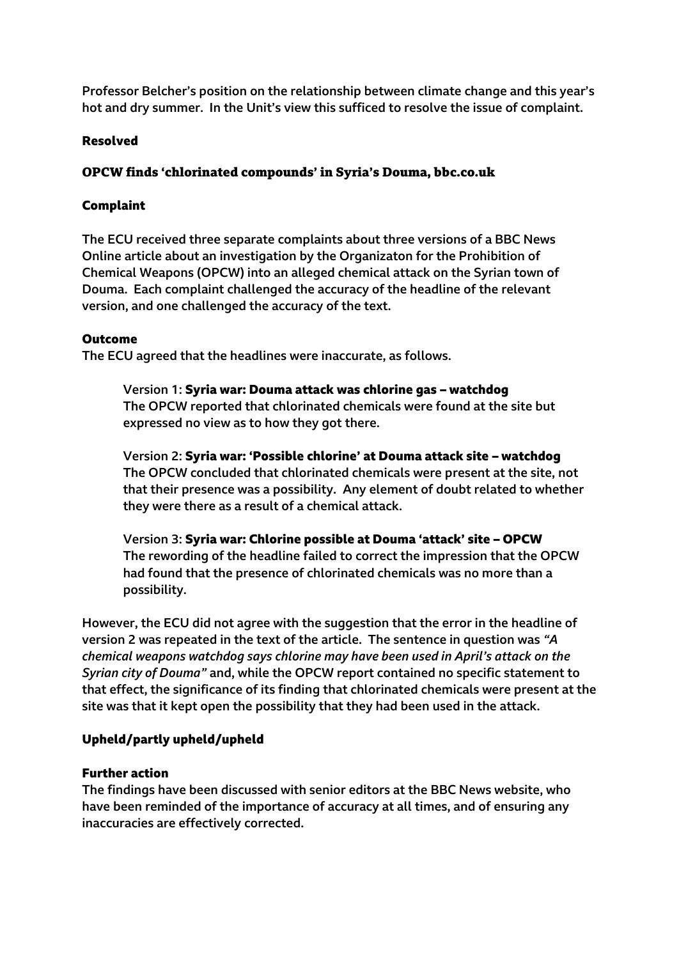Professor Belcher's position on the relationship between climate change and this year's hot and dry summer. In the Unit's view this sufficed to resolve the issue of complaint.

## **Resolved**

## **OPCW finds 'chlorinated compounds' in Syria's Douma, bbc.co.uk**

## **Complaint**

The ECU received three separate complaints about three versions of a BBC News Online article about an investigation by the Organizaton for the Prohibition of Chemical Weapons (OPCW) into an alleged chemical attack on the Syrian town of Douma. Each complaint challenged the accuracy of the headline of the relevant version, and one challenged the accuracy of the text.

## **Outcome**

The ECU agreed that the headlines were inaccurate, as follows.

Version 1: **Syria war: Douma attack was chlorine gas – watchdog** The OPCW reported that chlorinated chemicals were found at the site but expressed no view as to how they got there.

Version 2: **Syria war: 'Possible chlorine' at Douma attack site – watchdog** The OPCW concluded that chlorinated chemicals were present at the site, not that their presence was a possibility. Any element of doubt related to whether they were there as a result of a chemical attack.

Version 3: **Syria war: Chlorine possible at Douma 'attack' site – OPCW** The rewording of the headline failed to correct the impression that the OPCW had found that the presence of chlorinated chemicals was no more than a possibility.

However, the ECU did not agree with the suggestion that the error in the headline of version 2 was repeated in the text of the article. The sentence in question was *"A chemical weapons watchdog says chlorine may have been used in April's attack on the Syrian city of Douma"* and, while the OPCW report contained no specific statement to that effect, the significance of its finding that chlorinated chemicals were present at the site was that it kept open the possibility that they had been used in the attack.

## **Upheld/partly upheld/upheld**

### **Further action**

The findings have been discussed with senior editors at the BBC News website, who have been reminded of the importance of accuracy at all times, and of ensuring any inaccuracies are effectively corrected.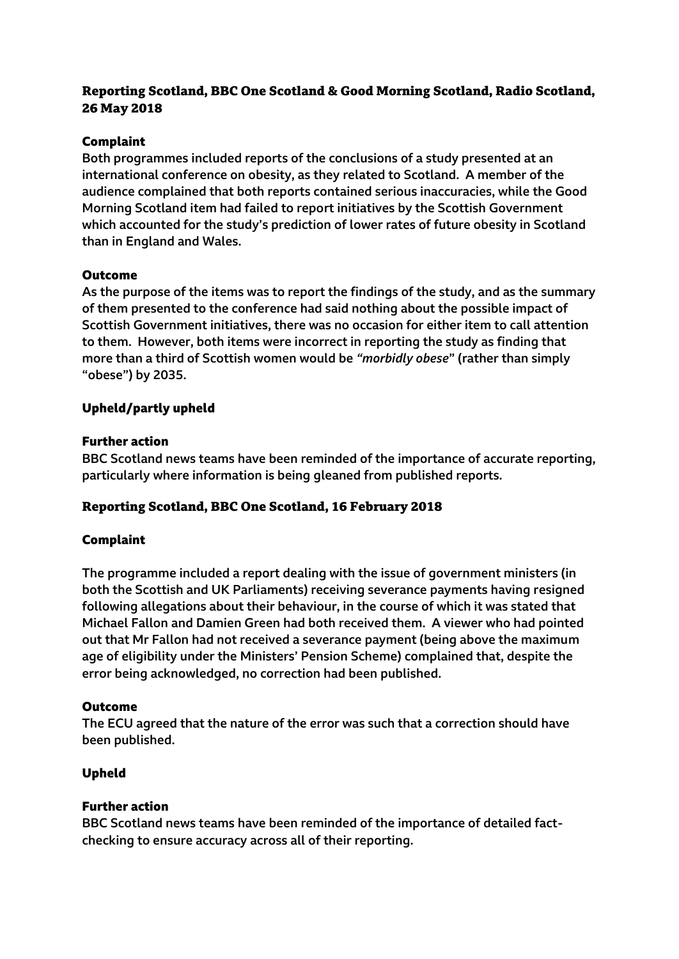# **Reporting Scotland, BBC One Scotland & Good Morning Scotland, Radio Scotland, 26 May 2018**

## **Complaint**

Both programmes included reports of the conclusions of a study presented at an international conference on obesity, as they related to Scotland. A member of the audience complained that both reports contained serious inaccuracies, while the Good Morning Scotland item had failed to report initiatives by the Scottish Government which accounted for the study's prediction of lower rates of future obesity in Scotland than in England and Wales.

### **Outcome**

As the purpose of the items was to report the findings of the study, and as the summary of them presented to the conference had said nothing about the possible impact of Scottish Government initiatives, there was no occasion for either item to call attention to them. However, both items were incorrect in reporting the study as finding that more than a third of Scottish women would be *"morbidly obese*" (rather than simply "obese") by 2035.

## **Upheld/partly upheld**

## **Further action**

BBC Scotland news teams have been reminded of the importance of accurate reporting, particularly where information is being gleaned from published reports.

## **Reporting Scotland, BBC One Scotland, 16 February 2018**

## **Complaint**

The programme included a report dealing with the issue of government ministers (in both the Scottish and UK Parliaments) receiving severance payments having resigned following allegations about their behaviour, in the course of which it was stated that Michael Fallon and Damien Green had both received them. A viewer who had pointed out that Mr Fallon had not received a severance payment (being above the maximum age of eligibility under the Ministers' Pension Scheme) complained that, despite the error being acknowledged, no correction had been published.

### **Outcome**

The ECU agreed that the nature of the error was such that a correction should have been published.

## **Upheld**

### **Further action**

BBC Scotland news teams have been reminded of the importance of detailed factchecking to ensure accuracy across all of their reporting.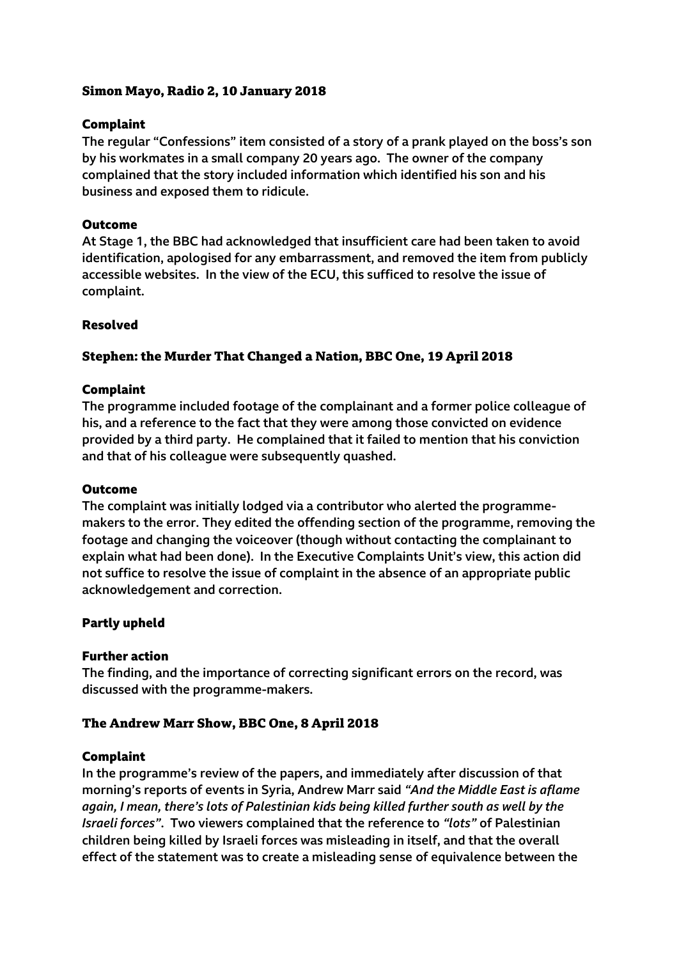## **Simon Mayo, Radio 2, 10 January 2018**

## **Complaint**

The regular "Confessions" item consisted of a story of a prank played on the boss's son by his workmates in a small company 20 years ago. The owner of the company complained that the story included information which identified his son and his business and exposed them to ridicule.

## **Outcome**

At Stage 1, the BBC had acknowledged that insufficient care had been taken to avoid identification, apologised for any embarrassment, and removed the item from publicly accessible websites. In the view of the ECU, this sufficed to resolve the issue of complaint.

## **Resolved**

## **Stephen: the Murder That Changed a Nation, BBC One, 19 April 2018**

## **Complaint**

The programme included footage of the complainant and a former police colleague of his, and a reference to the fact that they were among those convicted on evidence provided by a third party. He complained that it failed to mention that his conviction and that of his colleague were subsequently quashed.

### **Outcome**

The complaint was initially lodged via a contributor who alerted the programmemakers to the error. They edited the offending section of the programme, removing the footage and changing the voiceover (though without contacting the complainant to explain what had been done). In the Executive Complaints Unit's view, this action did not suffice to resolve the issue of complaint in the absence of an appropriate public acknowledgement and correction.

### **Partly upheld**

### **Further action**

The finding, and the importance of correcting significant errors on the record, was discussed with the programme-makers.

## **The Andrew Marr Show, BBC One, 8 April 2018**

### **Complaint**

In the programme's review of the papers, and immediately after discussion of that morning's reports of events in Syria, Andrew Marr said *"And the Middle East is aflame again, I mean, there's lots of Palestinian kids being killed further south as well by the Israeli forces"*. Two viewers complained that the reference to *"lots"* of Palestinian children being killed by Israeli forces was misleading in itself, and that the overall effect of the statement was to create a misleading sense of equivalence between the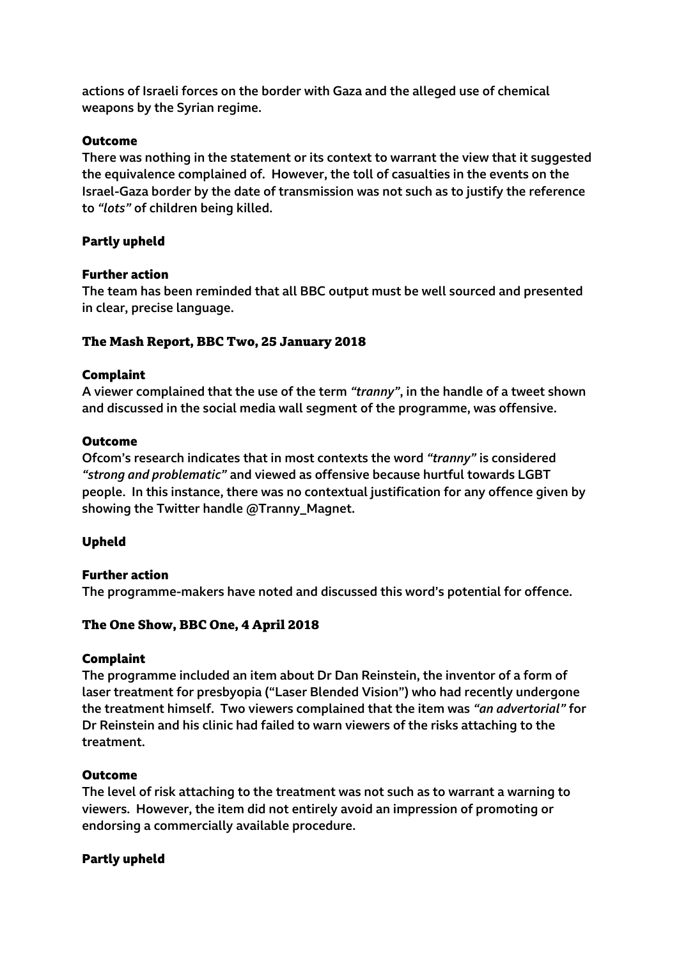actions of Israeli forces on the border with Gaza and the alleged use of chemical weapons by the Syrian regime.

### **Outcome**

There was nothing in the statement or its context to warrant the view that it suggested the equivalence complained of. However, the toll of casualties in the events on the Israel-Gaza border by the date of transmission was not such as to justify the reference to *"lots"* of children being killed.

## **Partly upheld**

## **Further action**

The team has been reminded that all BBC output must be well sourced and presented in clear, precise language.

## **The Mash Report, BBC Two, 25 January 2018**

## **Complaint**

A viewer complained that the use of the term *"tranny"*, in the handle of a tweet shown and discussed in the social media wall segment of the programme, was offensive.

### **Outcome**

Ofcom's research indicates that in most contexts the word *"tranny"* is considered *"strong and problematic"* and viewed as offensive because hurtful towards LGBT people. In this instance, there was no contextual justification for any offence given by showing the Twitter handle @Tranny\_Magnet.

## **Upheld**

### **Further action**

The programme-makers have noted and discussed this word's potential for offence.

## **The One Show, BBC One, 4 April 2018**

### **Complaint**

The programme included an item about Dr Dan Reinstein, the inventor of a form of laser treatment for presbyopia ("Laser Blended Vision") who had recently undergone the treatment himself. Two viewers complained that the item was *"an advertorial"* for Dr Reinstein and his clinic had failed to warn viewers of the risks attaching to the treatment.

### **Outcome**

The level of risk attaching to the treatment was not such as to warrant a warning to viewers. However, the item did not entirely avoid an impression of promoting or endorsing a commercially available procedure.

### **Partly upheld**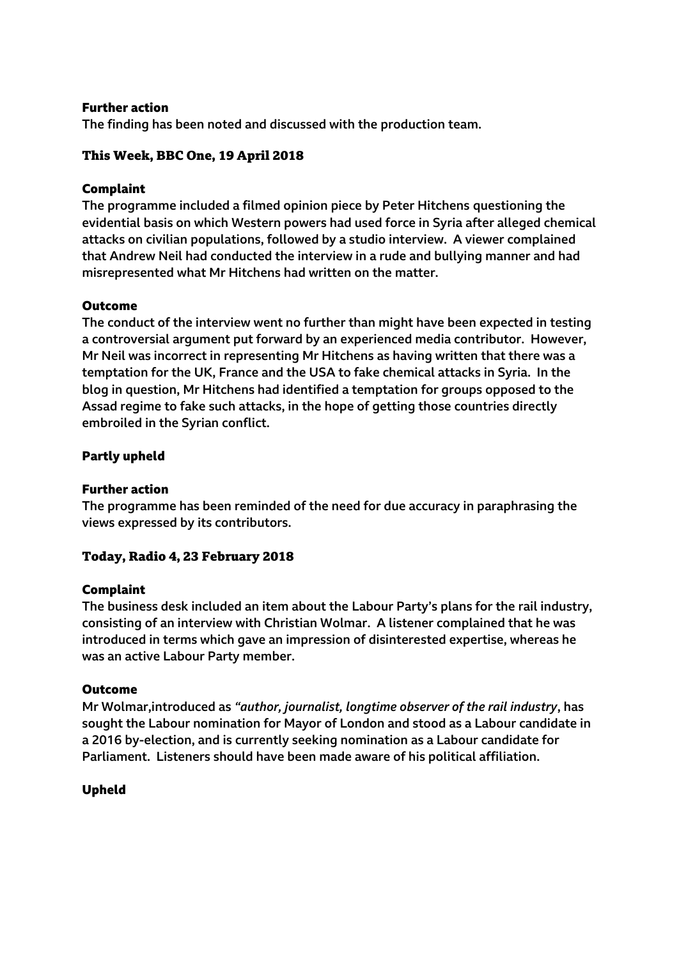The finding has been noted and discussed with the production team.

## **This Week, BBC One, 19 April 2018**

### **Complaint**

The programme included a filmed opinion piece by Peter Hitchens questioning the evidential basis on which Western powers had used force in Syria after alleged chemical attacks on civilian populations, followed by a studio interview. A viewer complained that Andrew Neil had conducted the interview in a rude and bullying manner and had misrepresented what Mr Hitchens had written on the matter.

## **Outcome**

The conduct of the interview went no further than might have been expected in testing a controversial argument put forward by an experienced media contributor. However, Mr Neil was incorrect in representing Mr Hitchens as having written that there was a temptation for the UK, France and the USA to fake chemical attacks in Syria. In the blog in question, Mr Hitchens had identified a temptation for groups opposed to the Assad regime to fake such attacks, in the hope of getting those countries directly embroiled in the Syrian conflict.

## **Partly upheld**

### **Further action**

The programme has been reminded of the need for due accuracy in paraphrasing the views expressed by its contributors.

## **Today, Radio 4, 23 February 2018**

### **Complaint**

The business desk included an item about the Labour Party's plans for the rail industry, consisting of an interview with Christian Wolmar. A listener complained that he was introduced in terms which gave an impression of disinterested expertise, whereas he was an active Labour Party member.

### **Outcome**

Mr Wolmar,introduced as *"author, journalist, longtime observer of the rail industry*, has sought the Labour nomination for Mayor of London and stood as a Labour candidate in a 2016 by-election, and is currently seeking nomination as a Labour candidate for Parliament. Listeners should have been made aware of his political affiliation.

### **Upheld**